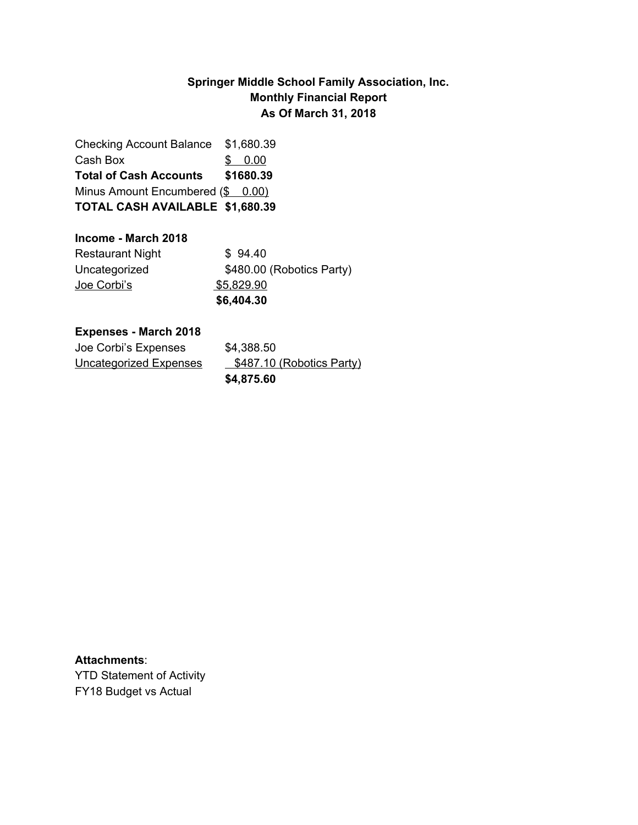### **Springer Middle School Family Association, Inc. Monthly Financial Report As Of March 31, 2018**

Checking Account Balance \$1,680.39 Cash Box \$ 0.00 **Total of Cash Accounts \$1680.39** Minus Amount Encumbered (\$ 0.00) **TOTAL CASH AVAILABLE \$1,680.39**

### **Income - March 2018**

|                         | \$6,404.30                |
|-------------------------|---------------------------|
| <u>Joe Corbi's</u>      | \$5,829.90                |
| Uncategorized           | \$480.00 (Robotics Party) |
| <b>Restaurant Night</b> | \$94.40                   |

#### **Expenses - March 2018**

|                        | \$4,875.60                |
|------------------------|---------------------------|
| Uncategorized Expenses | \$487.10 (Robotics Party) |
| Joe Corbi's Expenses   | \$4,388.50                |

#### **Attachments**:

YTD Statement of Activity FY18 Budget vs Actual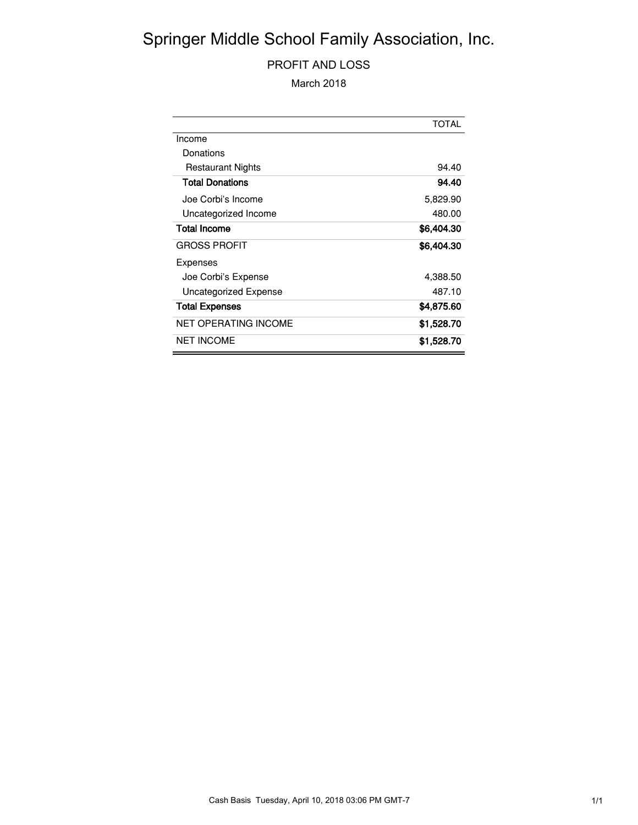# Springer Middle School Family Association, Inc.

### PROFIT AND LOSS

March 2018

|                             | <b>TOTAL</b> |
|-----------------------------|--------------|
| Income                      |              |
| Donations                   |              |
| <b>Restaurant Nights</b>    | 94.40        |
| <b>Total Donations</b>      | 94.40        |
| Joe Corbi's Income          | 5,829.90     |
| Uncategorized Income        | 480.00       |
| <b>Total Income</b>         | \$6,404.30   |
| <b>GROSS PROFIT</b>         | \$6,404.30   |
| Expenses                    |              |
| Joe Corbi's Expense         | 4,388.50     |
| Uncategorized Expense       | 487.10       |
| <b>Total Expenses</b>       | \$4,875.60   |
| <b>NET OPERATING INCOME</b> | \$1,528.70   |
| <b>NET INCOME</b>           | \$1,528.70   |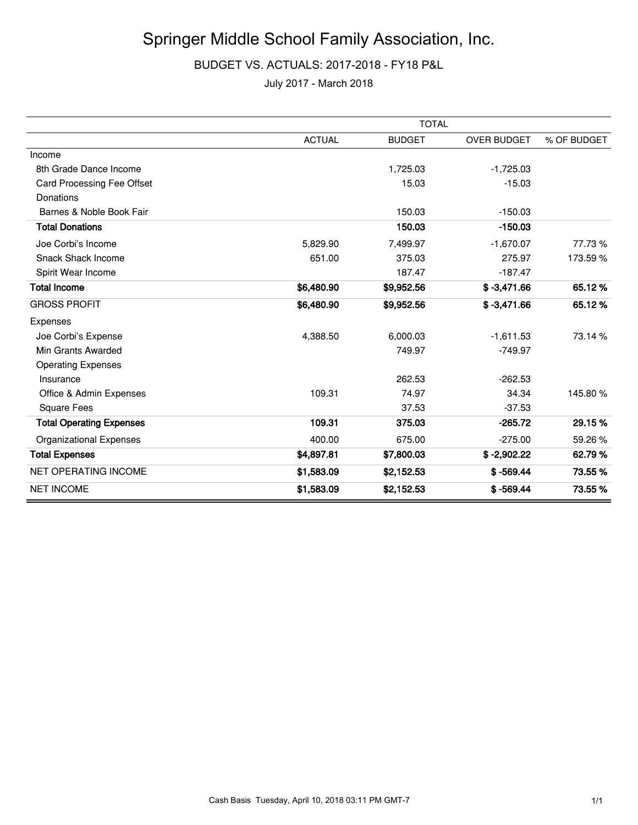## Springer Middle School Family Association, Inc.

#### BUDGET VS. ACTUALS: 2017-2018 - FY18 P&L

July 2017 - March 2018

|                                 | <b>TOTAL</b>  |               |                    |             |
|---------------------------------|---------------|---------------|--------------------|-------------|
|                                 | <b>ACTUAL</b> | <b>BUDGET</b> | <b>OVER BUDGET</b> | % OF BUDGET |
| Income                          |               |               |                    |             |
| 8th Grade Dance Income          |               | 1,725.03      | $-1,725.03$        |             |
| Card Processing Fee Offset      |               | 15.03         | $-15.03$           |             |
| Donations                       |               |               |                    |             |
| Barnes & Noble Book Fair        |               | 150.03        | $-150.03$          |             |
| <b>Total Donations</b>          |               | 150.03        | $-150.03$          |             |
| Joe Corbi's Income              | 5,829.90      | 7,499.97      | $-1,670.07$        | 77.73 %     |
| <b>Snack Shack Income</b>       | 651.00        | 375.03        | 275.97             | 173.59%     |
| Spirit Wear Income              |               | 187.47        | $-187.47$          |             |
| <b>Total Income</b>             | \$6,480.90    | \$9,952.56    | $$ -3,471.66$      | 65.12%      |
| <b>GROSS PROFIT</b>             | \$6,480.90    | \$9,952.56    | $$ -3,471.66$      | 65.12%      |
| Expenses                        |               |               |                    |             |
| Joe Corbi's Expense             | 4,388.50      | 6,000.03      | $-1,611.53$        | 73.14 %     |
| Min Grants Awarded              |               | 749.97        | $-749.97$          |             |
| <b>Operating Expenses</b>       |               |               |                    |             |
| Insurance                       |               | 262.53        | $-262.53$          |             |
| Office & Admin Expenses         | 109.31        | 74.97         | 34.34              | 145.80%     |
| <b>Square Fees</b>              |               | 37.53         | $-37.53$           |             |
| <b>Total Operating Expenses</b> | 109.31        | 375.03        | $-265.72$          | 29.15%      |
| <b>Organizational Expenses</b>  | 400.00        | 675.00        | $-275.00$          | 59.26 %     |
| <b>Total Expenses</b>           | \$4,897.81    | \$7,800.03    | $$ -2,902.22$      | 62.79%      |
| <b>NET OPERATING INCOME</b>     | \$1,583.09    | \$2,152.53    | $$ -569.44$        | 73.55%      |
| <b>NET INCOME</b>               | \$1,583.09    | \$2,152.53    | $$ -569.44$        | 73.55 %     |